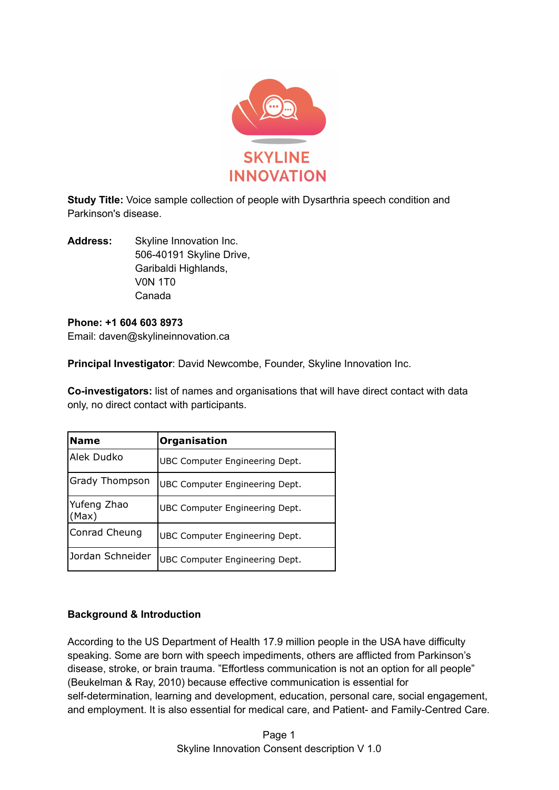

**Study Title:** Voice sample collection of people with Dysarthria speech condition and Parkinson's disease.

**Address:** Skyline Innovation Inc. 506-40191 Skyline Drive, Garibaldi Highlands, V0N 1T0 Canada

# **Phone: +1 604 603 8973** Email: daven@skylineinnovation.ca

**Principal Investigator**: David Newcombe, Founder, Skyline Innovation Inc.

**Co-investigators:** list of names and organisations that will have direct contact with data only, no direct contact with participants.

| <b>Name</b>          | Organisation                   |
|----------------------|--------------------------------|
| Alek Dudko           | UBC Computer Engineering Dept. |
| Grady Thompson       | UBC Computer Engineering Dept. |
| Yufeng Zhao<br>(Max) | UBC Computer Engineering Dept. |
| Conrad Cheung        | UBC Computer Engineering Dept. |
| Jordan Schneider     | UBC Computer Engineering Dept. |

# **Background & Introduction**

According to the US Department of Health 17.9 million people in the USA have difficulty speaking. Some are born with speech impediments, others are afflicted from Parkinson's disease, stroke, or brain trauma. "Effortless communication is not an option for all people" (Beukelman & Ray, 2010) because effective communication is essential for self-determination, learning and development, education, personal care, social engagement, and employment. It is also essential for medical care, and Patient- and Family-Centred Care.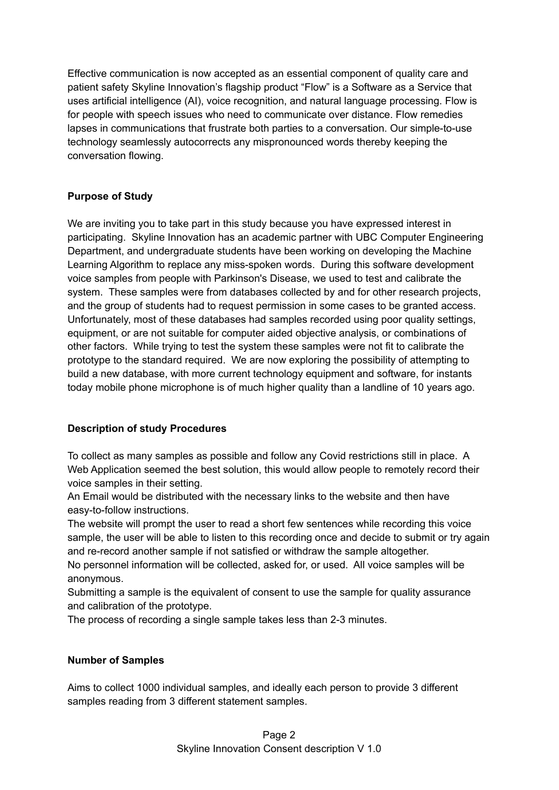Effective communication is now accepted as an essential component of quality care and patient safety Skyline Innovation's flagship product "Flow" is a Software as a Service that uses artificial intelligence (AI), voice recognition, and natural language processing. Flow is for people with speech issues who need to communicate over distance. Flow remedies lapses in communications that frustrate both parties to a conversation. Our simple-to-use technology seamlessly autocorrects any mispronounced words thereby keeping the conversation flowing.

# **Purpose of Study**

We are inviting you to take part in this study because you have expressed interest in participating. Skyline Innovation has an academic partner with UBC Computer Engineering Department, and undergraduate students have been working on developing the Machine Learning Algorithm to replace any miss-spoken words. During this software development voice samples from people with Parkinson's Disease, we used to test and calibrate the system. These samples were from databases collected by and for other research projects, and the group of students had to request permission in some cases to be granted access. Unfortunately, most of these databases had samples recorded using poor quality settings, equipment, or are not suitable for computer aided objective analysis, or combinations of other factors. While trying to test the system these samples were not fit to calibrate the prototype to the standard required. We are now exploring the possibility of attempting to build a new database, with more current technology equipment and software, for instants today mobile phone microphone is of much higher quality than a landline of 10 years ago.

# **Description of study Procedures**

To collect as many samples as possible and follow any Covid restrictions still in place. A Web Application seemed the best solution, this would allow people to remotely record their voice samples in their setting.

An Email would be distributed with the necessary links to the website and then have easy-to-follow instructions.

The website will prompt the user to read a short few sentences while recording this voice sample, the user will be able to listen to this recording once and decide to submit or try again and re-record another sample if not satisfied or withdraw the sample altogether.

No personnel information will be collected, asked for, or used. All voice samples will be anonymous.

Submitting a sample is the equivalent of consent to use the sample for quality assurance and calibration of the prototype.

The process of recording a single sample takes less than 2-3 minutes.

# **Number of Samples**

Aims to collect 1000 individual samples, and ideally each person to provide 3 different samples reading from 3 different statement samples.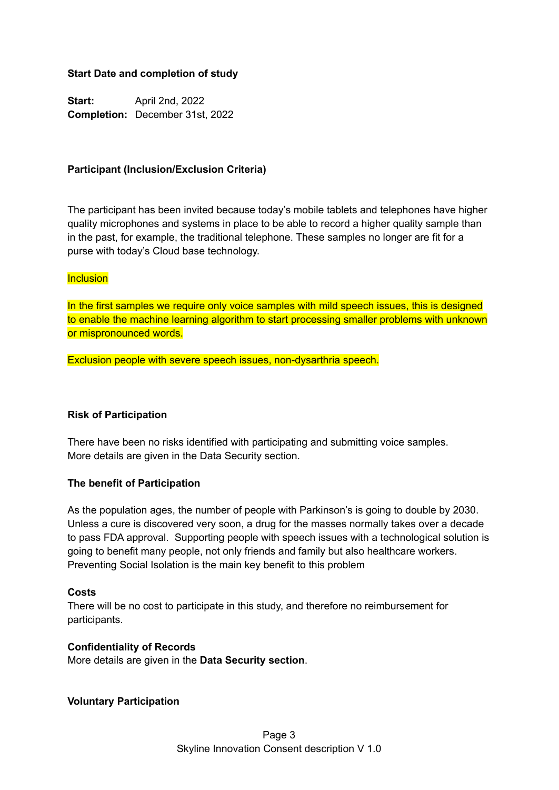### **Start Date and completion of study**

**Start:** April 2nd, 2022 **Completion:** December 31st, 2022

### **Participant (Inclusion/Exclusion Criteria)**

The participant has been invited because today's mobile tablets and telephones have higher quality microphones and systems in place to be able to record a higher quality sample than in the past, for example, the traditional telephone. These samples no longer are fit for a purse with today's Cloud base technology.

### **Inclusion**

In the first samples we require only voice samples with mild speech issues, this is designed to enable the machine learning algorithm to start processing smaller problems with unknown or mispronounced words.

Exclusion people with severe speech issues, non-dysarthria speech.

### **Risk of Participation**

There have been no risks identified with participating and submitting voice samples. More details are given in the Data Security section.

### **The benefit of Participation**

As the population ages, the number of people with Parkinson's is going to double by 2030. Unless a cure is discovered very soon, a drug for the masses normally takes over a decade to pass FDA approval. Supporting people with speech issues with a technological solution is going to benefit many people, not only friends and family but also healthcare workers. Preventing Social Isolation is the main key benefit to this problem

### **Costs**

There will be no cost to participate in this study, and therefore no reimbursement for participants.

#### **Confidentiality of Records**

More details are given in the **Data Security section**.

#### **Voluntary Participation**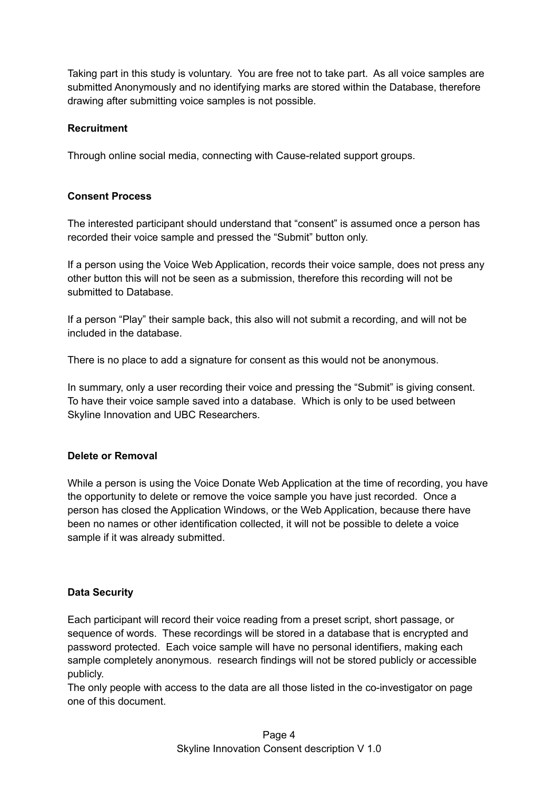Taking part in this study is voluntary. You are free not to take part. As all voice samples are submitted Anonymously and no identifying marks are stored within the Database, therefore drawing after submitting voice samples is not possible.

### **Recruitment**

Through online social media, connecting with Cause-related support groups.

### **Consent Process**

The interested participant should understand that "consent" is assumed once a person has recorded their voice sample and pressed the "Submit" button only.

If a person using the Voice Web Application, records their voice sample, does not press any other button this will not be seen as a submission, therefore this recording will not be submitted to Database.

If a person "Play" their sample back, this also will not submit a recording, and will not be included in the database.

There is no place to add a signature for consent as this would not be anonymous.

In summary, only a user recording their voice and pressing the "Submit" is giving consent. To have their voice sample saved into a database. Which is only to be used between Skyline Innovation and UBC Researchers.

### **Delete or Removal**

While a person is using the Voice Donate Web Application at the time of recording, you have the opportunity to delete or remove the voice sample you have just recorded. Once a person has closed the Application Windows, or the Web Application, because there have been no names or other identification collected, it will not be possible to delete a voice sample if it was already submitted.

# **Data Security**

Each participant will record their voice reading from a preset script, short passage, or sequence of words. These recordings will be stored in a database that is encrypted and password protected. Each voice sample will have no personal identifiers, making each sample completely anonymous. research findings will not be stored publicly or accessible publicly.

The only people with access to the data are all those listed in the co-investigator on page one of this document.